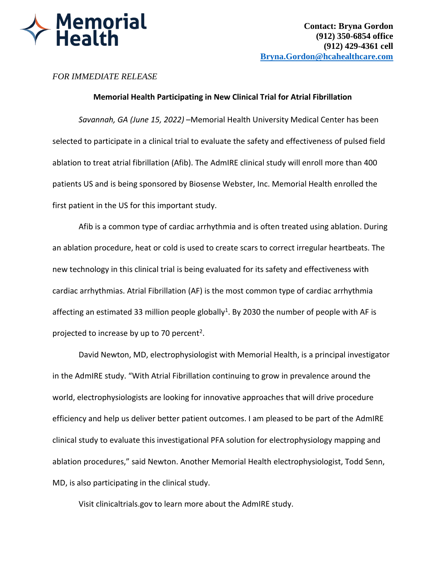

## *FOR IMMEDIATE RELEASE*

## **Memorial Health Participating in New Clinical Trial for Atrial Fibrillation**

*Savannah, GA (June 15, 2022)* –Memorial Health University Medical Center has been selected to participate in a clinical trial to evaluate the safety and effectiveness of pulsed field ablation to treat atrial fibrillation (Afib). The AdmIRE clinical study will enroll more than 400 patients US and is being sponsored by Biosense Webster, Inc. Memorial Health enrolled the first patient in the US for this important study.

Afib is a common type of cardiac arrhythmia and is often treated using ablation. During an ablation procedure, heat or cold is used to create scars to correct irregular heartbeats. The new technology in this clinical trial is being evaluated for its safety and effectiveness with cardiac arrhythmias. Atrial Fibrillation (AF) is the most common type of cardiac arrhythmia affecting an estimated 33 million people globally<sup>1</sup>. By 2030 the number of people with AF is projected to increase by up to 70 percent<sup>2</sup>.

David Newton, MD, electrophysiologist with Memorial Health, is a principal investigator in the AdmIRE study. "With Atrial Fibrillation continuing to grow in prevalence around the world, electrophysiologists are looking for innovative approaches that will drive procedure efficiency and help us deliver better patient outcomes. I am pleased to be part of the AdmIRE clinical study to evaluate this investigational PFA solution for electrophysiology mapping and ablation procedures," said Newton. Another Memorial Health electrophysiologist, Todd Senn, MD, is also participating in the clinical study.

Visit clinicaltrials.gov to learn more about the AdmIRE study.